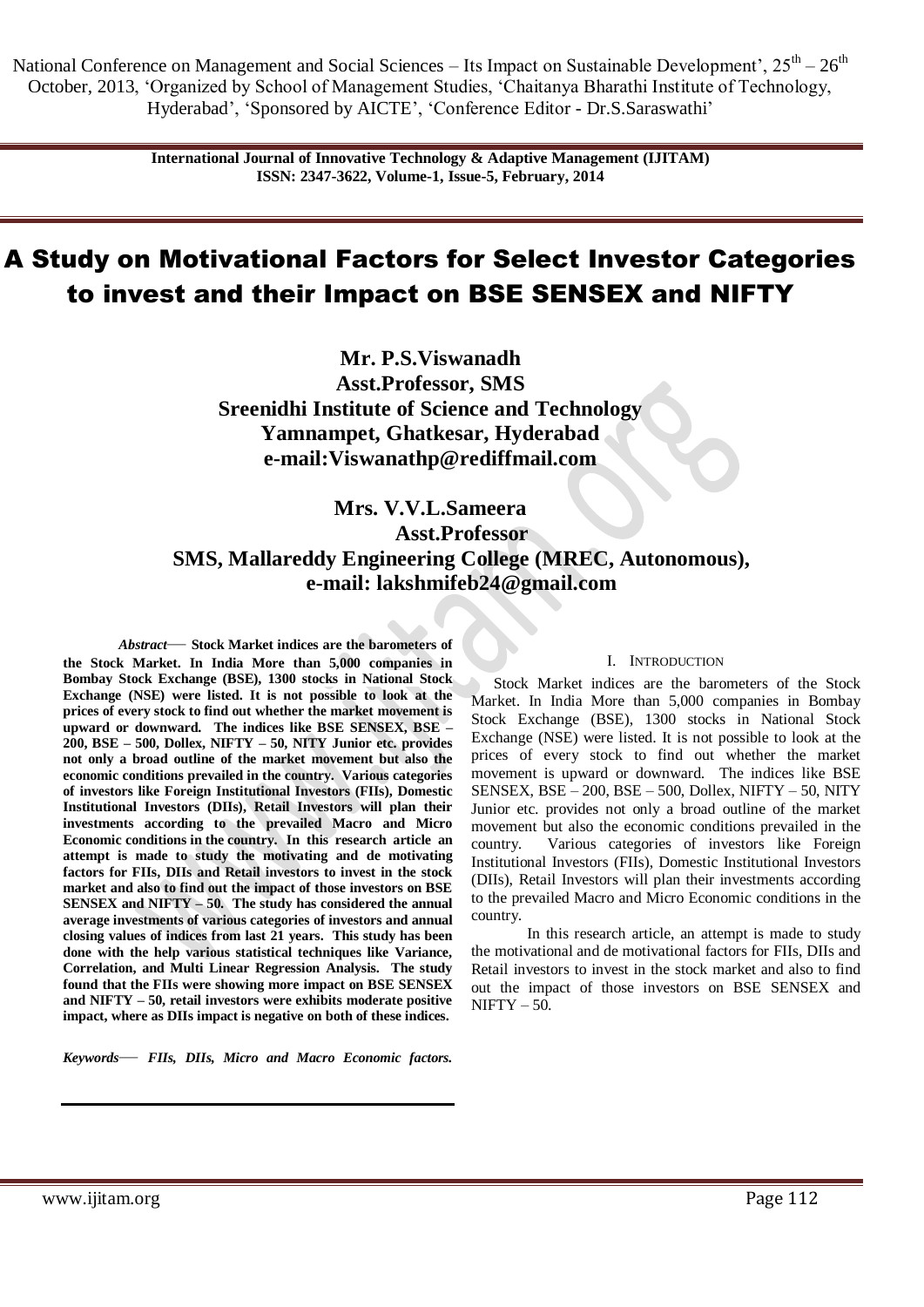National Conference on Management and Social Sciences – Its Impact on Sustainable Development',  $25^{th} - 26^{th}$ October, 2013, ‗Organized by School of Management Studies, ‗Chaitanya Bharathi Institute of Technology, Hyderabad', 'Sponsored by AICTE', 'Conference Editor - Dr.S. Saraswathi'

> **International Journal of Innovative Technology & Adaptive Management (IJITAM) ISSN: 2347-3622, Volume-1, Issue-5, February, 2014**

# A Study on Motivational Factors for Select Investor Categories to invest and their Impact on BSE SENSEX and NIFTY

**Mr. P.S.Viswanadh Asst.Professor, SMS Sreenidhi Institute of Science and Technology Yamnampet, Ghatkesar, Hyderabad e-mail:Viswanathp@rediffmail.com**

## **Mrs. V.V.L.Sameera Asst.Professor SMS, Mallareddy Engineering College (MREC, Autonomous), e-mail: [lakshmifeb24@gmail.com](mailto:lakshmifeb24@gmail.com)**

*Abstract*— **Stock Market indices are the barometers of the Stock Market. In India More than 5,000 companies in Bombay Stock Exchange (BSE), 1300 stocks in National Stock Exchange (NSE) were listed. It is not possible to look at the prices of every stock to find out whether the market movement is upward or downward. The indices like BSE SENSEX, BSE – 200, BSE – 500, Dollex, NIFTY – 50, NITY Junior etc. provides not only a broad outline of the market movement but also the economic conditions prevailed in the country. Various categories of investors like Foreign Institutional Investors (FIIs), Domestic Institutional Investors (DIIs), Retail Investors will plan their investments according to the prevailed Macro and Micro Economic conditions in the country. In this research article an attempt is made to study the motivating and de motivating factors for FIIs, DIIs and Retail investors to invest in the stock market and also to find out the impact of those investors on BSE SENSEX and NIFTY – 50. The study has considered the annual average investments of various categories of investors and annual closing values of indices from last 21 years. This study has been done with the help various statistical techniques like Variance, Correlation, and Multi Linear Regression Analysis. The study found that the FIIs were showing more impact on BSE SENSEX and NIFTY – 50, retail investors were exhibits moderate positive impact, where as DIIs impact is negative on both of these indices.**

*Keywords*— *FIIs, DIIs, Micro and Macro Economic factors.*

#### I. INTRODUCTION

Stock Market indices are the barometers of the Stock Market. In India More than 5,000 companies in Bombay Stock Exchange (BSE), 1300 stocks in National Stock Exchange (NSE) were listed. It is not possible to look at the prices of every stock to find out whether the market movement is upward or downward. The indices like BSE SENSEX, BSE – 200, BSE – 500, Dollex, NIFTY – 50, NITY Junior etc. provides not only a broad outline of the market movement but also the economic conditions prevailed in the country. Various categories of investors like Foreign Institutional Investors (FIIs), Domestic Institutional Investors (DIIs), Retail Investors will plan their investments according to the prevailed Macro and Micro Economic conditions in the country.

In this research article, an attempt is made to study the motivational and de motivational factors for FIIs, DIIs and Retail investors to invest in the stock market and also to find out the impact of those investors on BSE SENSEX and  $NIFTY - 50.$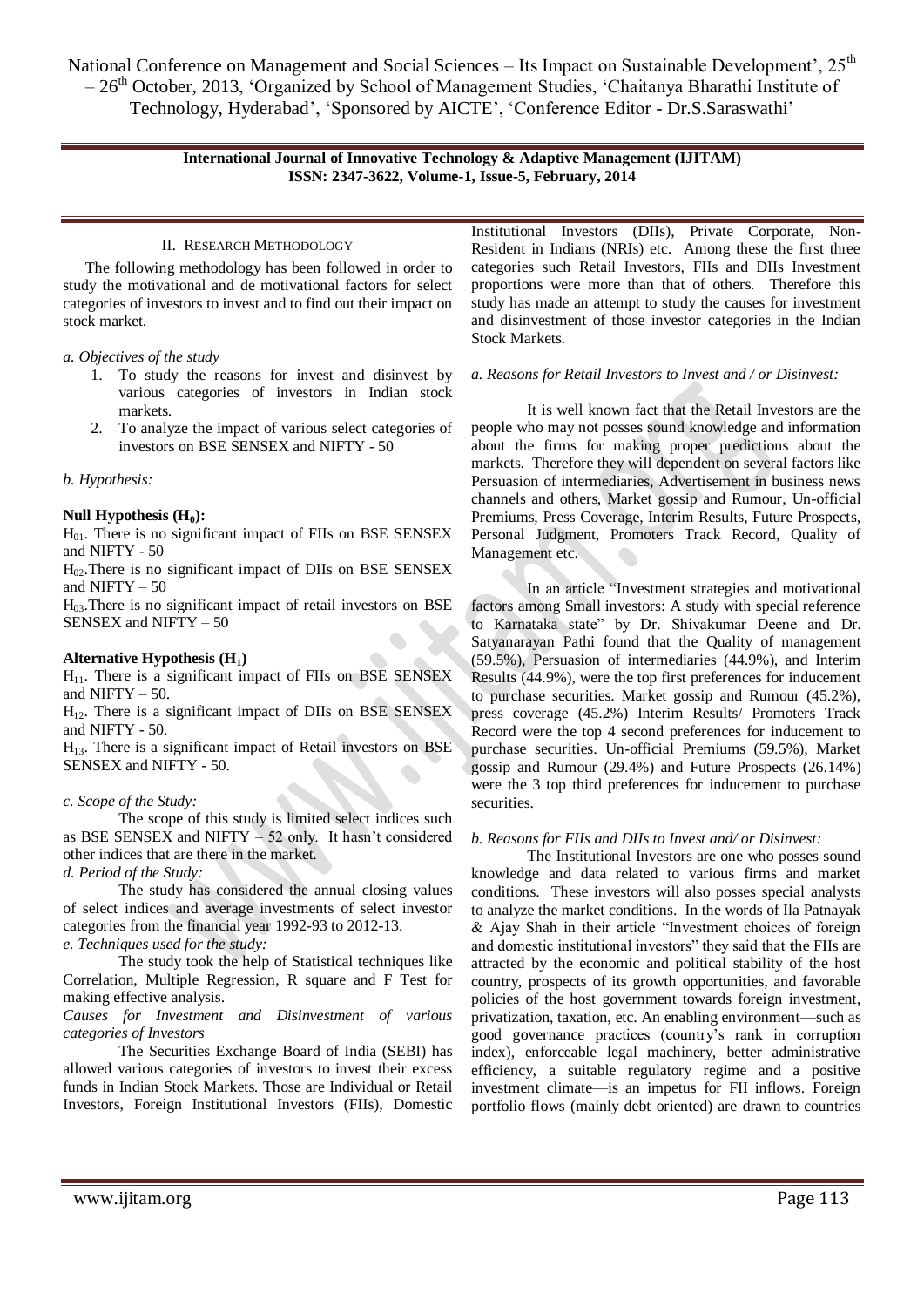National Conference on Management and Social Sciences – Its Impact on Sustainable Development', 25<sup>th</sup>  $-26<sup>th</sup>$  October, 2013, 'Organized by School of Management Studies, 'Chaitanya Bharathi Institute of Technology, Hyderabad', 'Sponsored by AICTE', 'Conference Editor - Dr.S.Saraswathi'

#### **International Journal of Innovative Technology & Adaptive Management (IJITAM) ISSN: 2347-3622, Volume-1, Issue-5, February, 2014**

### II. RESEARCH METHODOLOGY

The following methodology has been followed in order to study the motivational and de motivational factors for select categories of investors to invest and to find out their impact on stock market.

#### *a. Objectives of the study*

- 1. To study the reasons for invest and disinvest by various categories of investors in Indian stock markets.
- 2. To analyze the impact of various select categories of investors on BSE SENSEX and NIFTY - 50

#### *b. Hypothesis:*

#### **Null Hypothesis (H0):**

 $H<sub>01</sub>$ . There is no significant impact of FIIs on BSE SENSEX and NIFTY - 50

 $H<sub>02</sub>$ . There is no significant impact of DIIs on BSE SENSEX and NIFTY  $-50$ 

 $H<sub>03</sub>$ . There is no significant impact of retail investors on BSE SENSEX and NIFTY – 50

#### **Alternative Hypothesis (H1)**

 $H<sub>11</sub>$ . There is a significant impact of FIIs on BSE SENSEX and NIFTY  $-50$ .

 $H_{12}$ . There is a significant impact of DIIs on BSE SENSEX and NIFTY - 50.

 $H<sub>13</sub>$ . There is a significant impact of Retail investors on BSE SENSEX and NIFTY - 50.

#### *c. Scope of the Study:*

The scope of this study is limited select indices such as BSE SENSEX and NIFTY – 52 only. It hasn't considered other indices that are there in the market.

*d. Period of the Study:*

The study has considered the annual closing values of select indices and average investments of select investor categories from the financial year 1992-93 to 2012-13.

*e. Techniques used for the study:*

The study took the help of Statistical techniques like Correlation, Multiple Regression, R square and F Test for making effective analysis.

#### *Causes for Investment and Disinvestment of various categories of Investors*

The Securities Exchange Board of India (SEBI) has allowed various categories of investors to invest their excess funds in Indian Stock Markets. Those are Individual or Retail Investors, Foreign Institutional Investors (FIIs), Domestic Institutional Investors (DIIs), Private Corporate, Non-Resident in Indians (NRIs) etc. Among these the first three categories such Retail Investors, FIIs and DIIs Investment proportions were more than that of others. Therefore this study has made an attempt to study the causes for investment and disinvestment of those investor categories in the Indian Stock Markets.

#### *a. Reasons for Retail Investors to Invest and / or Disinvest:*

It is well known fact that the Retail Investors are the people who may not posses sound knowledge and information about the firms for making proper predictions about the markets. Therefore they will dependent on several factors like Persuasion of intermediaries, Advertisement in business news channels and others, Market gossip and Rumour, Un-official Premiums, Press Coverage, Interim Results, Future Prospects, Personal Judgment, Promoters Track Record, Quality of Management etc.

In an article "Investment strategies and motivational factors among Small investors: A study with special reference to Karnataka state" by Dr. Shivakumar Deene and Dr. Satyanarayan Pathi found that the Quality of management (59.5%), Persuasion of intermediaries (44.9%), and Interim Results (44.9%), were the top first preferences for inducement to purchase securities. Market gossip and Rumour (45.2%), press coverage (45.2%) Interim Results/ Promoters Track Record were the top 4 second preferences for inducement to purchase securities. Un-official Premiums (59.5%), Market gossip and Rumour (29.4%) and Future Prospects (26.14%) were the 3 top third preferences for inducement to purchase securities.

#### *b. Reasons for FIIs and DIIs to Invest and/ or Disinvest:*

The Institutional Investors are one who posses sound knowledge and data related to various firms and market conditions. These investors will also posses special analysts to analyze the market conditions. In the words of Ila Patnayak  $&$  Ajay Shah in their article "Investment choices of foreign and domestic institutional investors" they said that the FIIs are attracted by the economic and political stability of the host country, prospects of its growth opportunities, and favorable policies of the host government towards foreign investment, privatization, taxation, etc. An enabling environment—such as good governance practices (country's rank in corruption index), enforceable legal machinery, better administrative efficiency, a suitable regulatory regime and a positive investment climate—is an impetus for FII inflows. Foreign portfolio flows (mainly debt oriented) are drawn to countries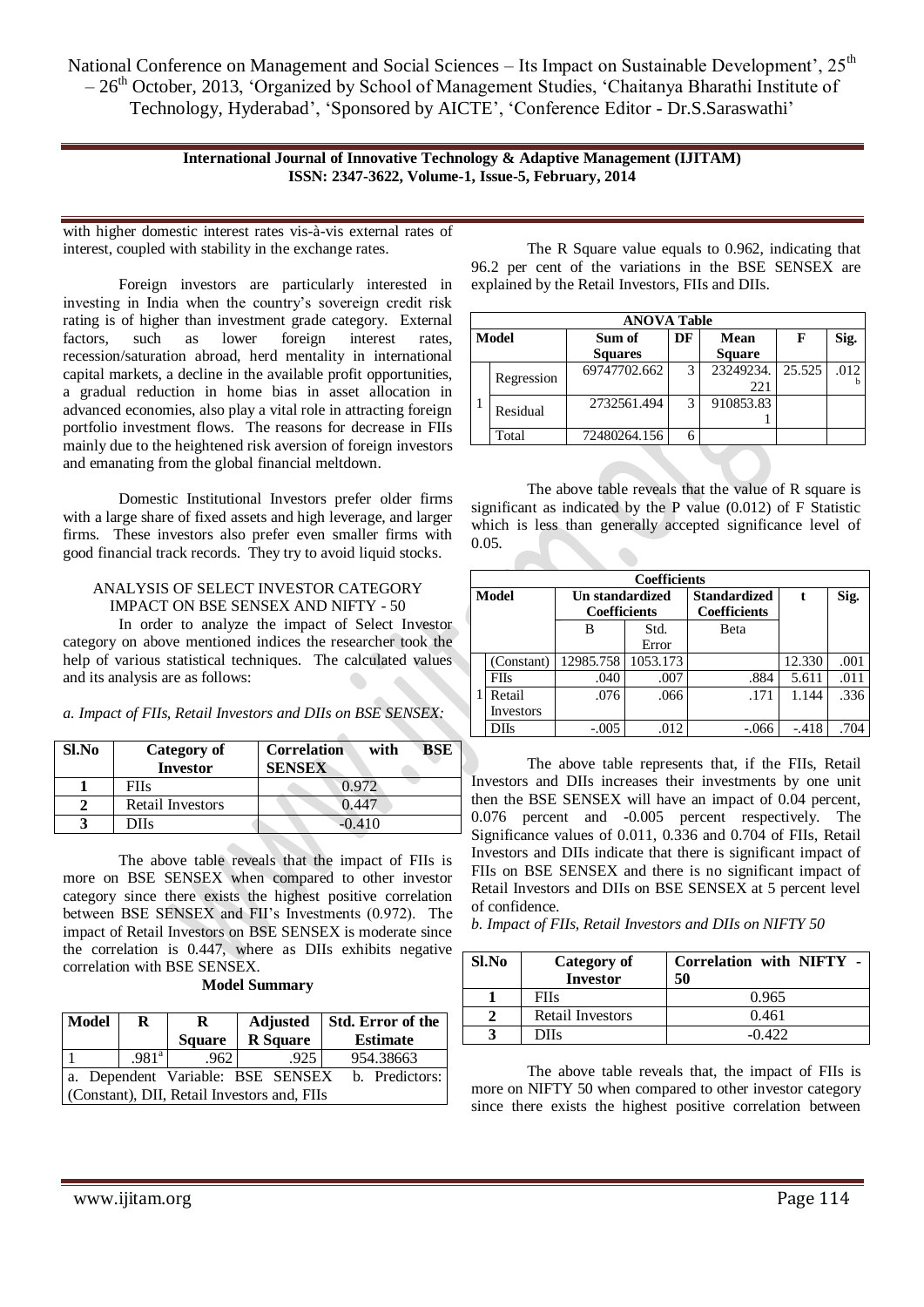National Conference on Management and Social Sciences - Its Impact on Sustainable Development', 25<sup>th</sup>  $-26<sup>th</sup>$  October, 2013, 'Organized by School of Management Studies, 'Chaitanya Bharathi Institute of Technology, Hyderabad', 'Sponsored by AICTE', 'Conference Editor - Dr.S.Saraswathi'

> **International Journal of Innovative Technology & Adaptive Management (IJITAM) ISSN: 2347-3622, Volume-1, Issue-5, February, 2014**

with higher domestic interest rates vis-à-vis external rates of interest, coupled with stability in the exchange rates.

Foreign investors are particularly interested in investing in India when the country's sovereign credit risk rating is of higher than investment grade category. External factors, such as lower foreign interest rates, recession/saturation abroad, herd mentality in international capital markets, a decline in the available profit opportunities, a gradual reduction in home bias in asset allocation in advanced economies, also play a vital role in attracting foreign portfolio investment flows. The reasons for decrease in FIIs mainly due to the heightened risk aversion of foreign investors and emanating from the global financial meltdown.

Domestic Institutional Investors prefer older firms with a large share of fixed assets and high leverage, and larger firms. These investors also prefer even smaller firms with good financial track records. They try to avoid liquid stocks.

#### ANALYSIS OF SELECT INVESTOR CATEGORY IMPACT ON BSE SENSEX AND NIFTY - 50

In order to analyze the impact of Select Investor category on above mentioned indices the researcher took the help of various statistical techniques. The calculated values and its analysis are as follows:

*a. Impact of FIIs, Retail Investors and DIIs on BSE SENSEX:*

| Sl.No | Category of<br><b>Investor</b> | <b>BSE</b><br><b>Correlation</b><br>with<br><b>SENSEX</b> |
|-------|--------------------------------|-----------------------------------------------------------|
|       | <b>FIIs</b>                    | 0.972                                                     |
|       | Retail Investors               | 0.447                                                     |
|       | DIIs                           | 0.410                                                     |

The above table reveals that the impact of FIIs is more on BSE SENSEX when compared to other investor category since there exists the highest positive correlation between BSE SENSEX and FII's Investments (0.972). The impact of Retail Investors on BSE SENSEX is moderate since the correlation is 0.447, where as DIIs exhibits negative correlation with BSE SENSEX.

|  | <b>Model Summary</b> |
|--|----------------------|
|--|----------------------|

| Model                                               | R                 | R             | Adjusted        | Std. Error of the |  |  |
|-----------------------------------------------------|-------------------|---------------|-----------------|-------------------|--|--|
|                                                     |                   | <b>Square</b> | <b>R</b> Square | <b>Estimate</b>   |  |  |
|                                                     | .981 <sup>a</sup> | .962          | .925            | 954.38663         |  |  |
| a. Dependent Variable: BSE SENSEX<br>b. Predictors: |                   |               |                 |                   |  |  |
| (Constant), DII, Retail Investors and, FIIs         |                   |               |                 |                   |  |  |

The R Square value equals to 0.962, indicating that 96.2 per cent of the variations in the BSE SENSEX are explained by the Retail Investors, FIIs and DIIs.

|       | <b>ANOVA Table</b> |                      |   |               |        |      |  |  |  |
|-------|--------------------|----------------------|---|---------------|--------|------|--|--|--|
| Model |                    | DF<br>Mean<br>Sum of |   |               | F      | Sig. |  |  |  |
|       |                    | <b>Squares</b>       |   | <b>Square</b> |        |      |  |  |  |
|       | Regression         | 69747702.662         | 3 | 23249234.     | 25.525 | .012 |  |  |  |
|       |                    |                      |   | 221           |        |      |  |  |  |
|       | Residual           | 2732561.494          | 3 | 910853.83     |        |      |  |  |  |
|       |                    |                      |   |               |        |      |  |  |  |
|       | Total              | 72480264.156         | 6 |               |        |      |  |  |  |

The above table reveals that the value of R square is significant as indicated by the P value (0.012) of F Statistic which is less than generally accepted significance level of 0.05.

|              | <b>Coefficients</b> |                                        |               |                                            |         |      |  |  |  |
|--------------|---------------------|----------------------------------------|---------------|--------------------------------------------|---------|------|--|--|--|
| <b>Model</b> |                     | Un standardized<br><b>Coefficients</b> |               | <b>Standardized</b><br><b>Coefficients</b> | t       | Sig. |  |  |  |
|              |                     | B                                      | Std.<br>Error | <b>Beta</b>                                |         |      |  |  |  |
|              | (Constant)          | 12985.758                              | 1053.173      |                                            | 12.330  | .001 |  |  |  |
|              | <b>FIIs</b>         | .040                                   | .007          | .884                                       | 5.611   | .011 |  |  |  |
|              | Retail              | .076                                   | .066          | .171                                       | 1.144   | .336 |  |  |  |
|              | Investors           |                                        |               |                                            |         |      |  |  |  |
|              | <b>DIIs</b>         | $-.005$                                | .012          | $-.066$                                    | $-.418$ | .704 |  |  |  |

The above table represents that, if the FIIs, Retail Investors and DIIs increases their investments by one unit then the BSE SENSEX will have an impact of 0.04 percent, 0.076 percent and -0.005 percent respectively. The Significance values of 0.011, 0.336 and 0.704 of FIIs, Retail Investors and DIIs indicate that there is significant impact of FIIs on BSE SENSEX and there is no significant impact of Retail Investors and DIIs on BSE SENSEX at 5 percent level of confidence.

*b. Impact of FIIs, Retail Investors and DIIs on NIFTY 50*

| Sl.No | Category of<br><b>Investor</b> | Correlation with NIFTY -<br>50 |
|-------|--------------------------------|--------------------------------|
|       | <b>FIIs</b>                    | 0.965                          |
|       | Retail Investors               | 0.461                          |
|       | DIIs                           | $-0.422$                       |

The above table reveals that, the impact of FIIs is more on NIFTY 50 when compared to other investor category since there exists the highest positive correlation between